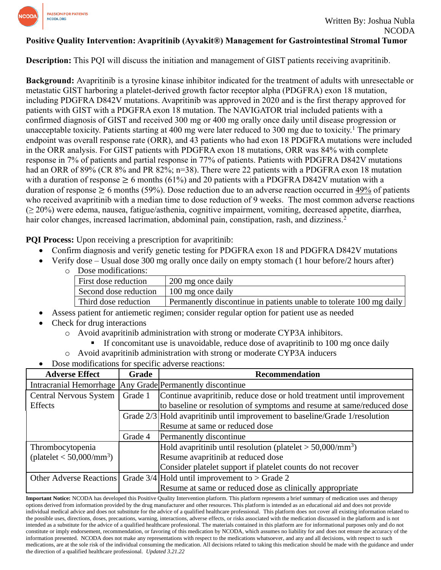

## **Positive Quality Intervention: Avapritinib (Ayvakit®) Management for Gastrointestinal Stromal Tumor**

**Description:** This PQI will discuss the initiation and management of GIST patients receiving avapritinib.

**Background:** Avapritinib is a tyrosine kinase inhibitor indicated for the treatment of adults with unresectable or metastatic GIST harboring a platelet-derived growth factor receptor alpha (PDGFRA) exon 18 mutation, including PDGFRA D842V mutations. Avapritinib was approved in 2020 and is the first therapy approved for patients with GIST with a PDGFRA exon 18 mutation. The NAVIGATOR trial included patients with a confirmed diagnosis of GIST and received 300 mg or 400 mg orally once daily until disease progression or unacceptable toxicity. Patients starting at 400 mg were later reduced to 300 mg due to toxicity.<sup>1</sup> The primary endpoint was overall response rate (ORR), and 43 patients who had exon 18 PDGFRA mutations were included in the ORR analysis. For GIST patients with PDGFRA exon 18 mutations, ORR was 84% with complete response in 7% of patients and partial response in 77% of patients. Patients with PDGFRA D842V mutations had an ORR of 89% (CR 8% and PR 82%; n=38). There were 22 patients with a PDGFRA exon 18 mutation with a duration of response  $\geq 6$  months (61%) and 20 patients with a PDGFRA D842V mutation with a duration of response  $\geq 6$  months (59%). Dose reduction due to an adverse reaction occurred in  $\frac{49\%}{10}$  of patients who received avapritinib with a median time to dose reduction of 9 weeks. The most common adverse reactions (≥ 20%) were edema, nausea, fatigue/asthenia, cognitive impairment, vomiting, decreased appetite, diarrhea, hair color changes, increased lacrimation, abdominal pain, constipation, rash, and dizziness.<sup>2</sup>

**PQI Process:** Upon receiving a prescription for avapritinib:

- Confirm diagnosis and verify genetic testing for PDGFRA exon 18 and PDGFRA D842V mutations
- Verify dose Usual dose 300 mg orally once daily on empty stomach (1 hour before/2 hours after)
	- o Dose modifications:

| First dose reduction  | 200 mg once daily                                                   |  |
|-----------------------|---------------------------------------------------------------------|--|
| Second dose reduction | 100 mg once daily                                                   |  |
| Third dose reduction  | Permanently discontinue in patients unable to tolerate 100 mg daily |  |

- Assess patient for antiemetic regimen; consider regular option for patient use as needed
- Check for drug interactions

o Avoid avapritinib administration with strong or moderate CYP3A inhibitors.

- If concomitant use is unavoidable, reduce dose of avapritinib to 100 mg once daily
- o Avoid avapritinib administration with strong or moderate CYP3A inducers
- Dose modifications for specific adverse reactions:

| <b>Adverse Effect</b>                                     | Grade   | <b>Recommendation</b>                                                       |
|-----------------------------------------------------------|---------|-----------------------------------------------------------------------------|
| Intracranial Hemorrhage Any Grade Permanently discontinue |         |                                                                             |
| <b>Central Nervous System</b>                             | Grade 1 | Continue avapritinib, reduce dose or hold treatment until improvement       |
| <b>Effects</b>                                            |         | to baseline or resolution of symptoms and resume at same/reduced dose       |
|                                                           |         | Grade 2/3 Hold avapritinib until improvement to baseline/Grade 1/resolution |
|                                                           |         | Resume at same or reduced dose                                              |
|                                                           | Grade 4 | Permanently discontinue                                                     |
| Thrombocytopenia                                          |         | Hold avapritinib until resolution (platelet $>$ 50,000/mm <sup>3</sup> )    |
| $(platelet < 50,000/mm^3)$                                |         | Resume avapritinib at reduced dose                                          |
|                                                           |         | Consider platelet support if platelet counts do not recover                 |
|                                                           |         | Other Adverse Reactions Grade $3/4$ Hold until improvement to $>$ Grade 2   |
|                                                           |         | Resume at same or reduced dose as clinically appropriate                    |

**Important Notice:** NCODA has developed this Positive Quality Intervention platform. This platform represents a brief summary of medication uses and therapy options derived from information provided by the drug manufacturer and other resources. This platform is intended as an educational aid and does not provide individual medical advice and does not substitute for the advice of a qualified healthcare professional. This platform does not cover all existing information related to the possible uses, directions, doses, precautions, warning, interactions, adverse effects, or risks associated with the medication discussed in the platform and is not intended as a substitute for the advice of a qualified healthcare professional. The materials contained in this platform are for informational purposes only and do not constitute or imply endorsement, recommendation, or favoring of this medication by NCODA, which assumes no liability for and does not ensure the accuracy of the information presented. NCODA does not make any representations with respect to the medications whatsoever, and any and all decisions, with respect to such medications, are at the sole risk of the individual consuming the medication. All decisions related to taking this medication should be made with the guidance and under the direction of a qualified healthcare professional. *Updated 3.21.22*